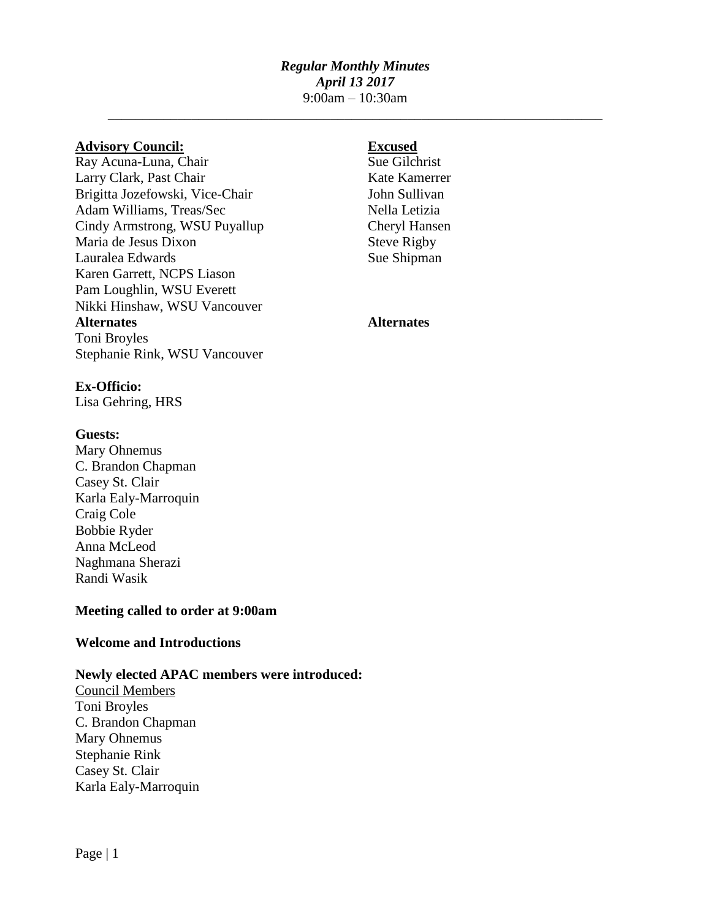# *Regular Monthly Minutes April 13 2017* 9:00am – 10:30am

\_\_\_\_\_\_\_\_\_\_\_\_\_\_\_\_\_\_\_\_\_\_\_\_\_\_\_\_\_\_\_\_\_\_\_\_\_\_\_\_\_\_\_\_\_\_\_\_\_\_\_\_\_\_\_\_\_\_\_\_\_\_\_\_\_\_\_\_\_\_\_

## **Advisory Council: Excused**

 $Ray Acuna-Luna, Chair$  Sue Gilchrist Larry Clark, Past Chair Kate Kamerrer Brigitta Jozefowski, Vice-Chair John Sullivan Adam Williams, Treas/Sec Nella Letizia Cindy Armstrong, WSU Puyallup Cheryl Hansen Maria de Jesus Dixon Steve Rigby Lauralea Edwards Sue Shipman Karen Garrett, NCPS Liason Pam Loughlin, WSU Everett Nikki Hinshaw, WSU Vancouver **Alternates Alternates** Toni Broyles Stephanie Rink, WSU Vancouver

### **Ex-Officio:**

Lisa Gehring, HRS

### **Guests:**

Mary Ohnemus C. Brandon Chapman Casey St. Clair Karla Ealy-Marroquin Craig Cole Bobbie Ryder Anna McLeod Naghmana Sherazi Randi Wasik

### **Meeting called to order at 9:00am**

### **Welcome and Introductions**

### **Newly elected APAC members were introduced:**

Council Members Toni Broyles C. Brandon Chapman Mary Ohnemus Stephanie Rink Casey St. Clair Karla Ealy-Marroquin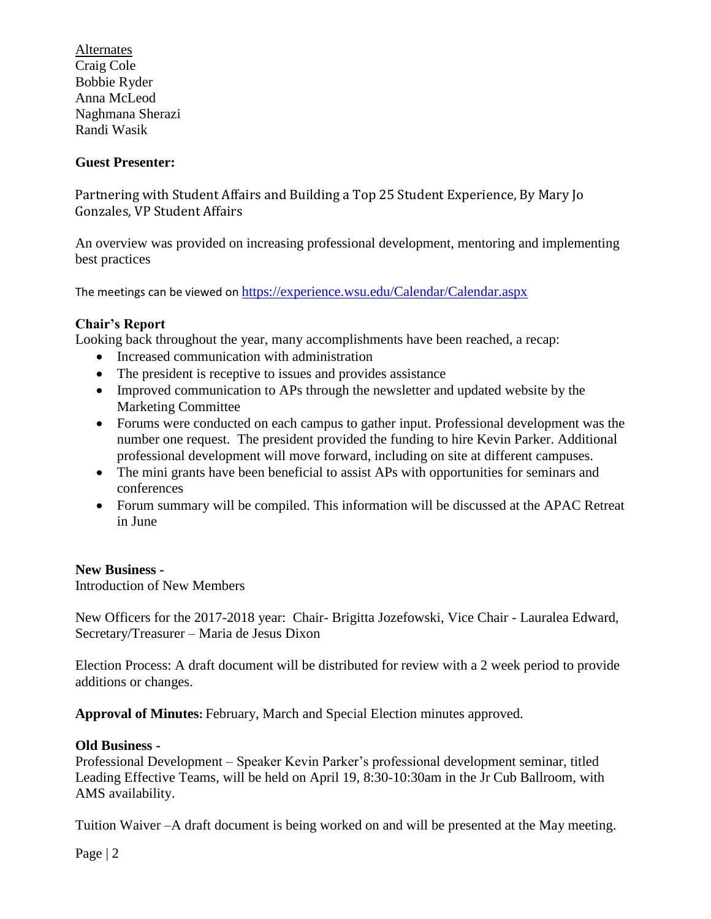**Alternates** Craig Cole Bobbie Ryder Anna McLeod Naghmana Sherazi Randi Wasik

# **Guest Presenter:**

Partnering with Student Affairs and Building a Top 25 Student Experience, By Mary Jo Gonzales, VP Student Affairs

An overview was provided on increasing professional development, mentoring and implementing best practices

The meetings can be viewed on https://experience.wsu.edu/Calendar/Calendar.aspx

# **Chair's Report**

Looking back throughout the year, many accomplishments have been reached, a recap:

- Increased communication with administration
- The president is receptive to issues and provides assistance
- Improved communication to APs through the newsletter and updated website by the Marketing Committee
- Forums were conducted on each campus to gather input. Professional development was the number one request. The president provided the funding to hire Kevin Parker. Additional professional development will move forward, including on site at different campuses.
- The mini grants have been beneficial to assist APs with opportunities for seminars and conferences
- Forum summary will be compiled. This information will be discussed at the APAC Retreat in June

## **New Business -**

Introduction of New Members

New Officers for the 2017-2018 year: Chair- Brigitta Jozefowski, Vice Chair - Lauralea Edward, Secretary/Treasurer – Maria de Jesus Dixon

Election Process: A draft document will be distributed for review with a 2 week period to provide additions or changes.

**Approval of Minutes:** February, March and Special Election minutes approved.

## **Old Business -**

Professional Development – Speaker Kevin Parker's professional development seminar, titled Leading Effective Teams, will be held on April 19, 8:30-10:30am in the Jr Cub Ballroom, with AMS availability.

Tuition Waiver –A draft document is being worked on and will be presented at the May meeting.

Page | 2